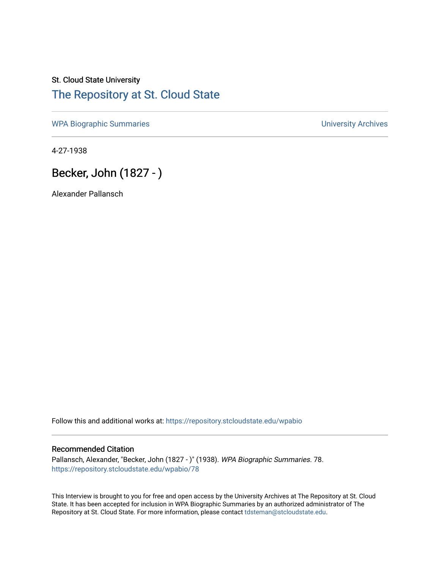## St. Cloud State University [The Repository at St. Cloud State](https://repository.stcloudstate.edu/)

[WPA Biographic Summaries](https://repository.stcloudstate.edu/wpabio) **WPA Biographic Summaries University Archives** 

4-27-1938

# Becker, John (1827 - )

Alexander Pallansch

Follow this and additional works at: [https://repository.stcloudstate.edu/wpabio](https://repository.stcloudstate.edu/wpabio?utm_source=repository.stcloudstate.edu%2Fwpabio%2F78&utm_medium=PDF&utm_campaign=PDFCoverPages) 

#### Recommended Citation

Pallansch, Alexander, "Becker, John (1827 - )" (1938). WPA Biographic Summaries. 78. [https://repository.stcloudstate.edu/wpabio/78](https://repository.stcloudstate.edu/wpabio/78?utm_source=repository.stcloudstate.edu%2Fwpabio%2F78&utm_medium=PDF&utm_campaign=PDFCoverPages)

This Interview is brought to you for free and open access by the University Archives at The Repository at St. Cloud State. It has been accepted for inclusion in WPA Biographic Summaries by an authorized administrator of The Repository at St. Cloud State. For more information, please contact [tdsteman@stcloudstate.edu.](mailto:tdsteman@stcloudstate.edu)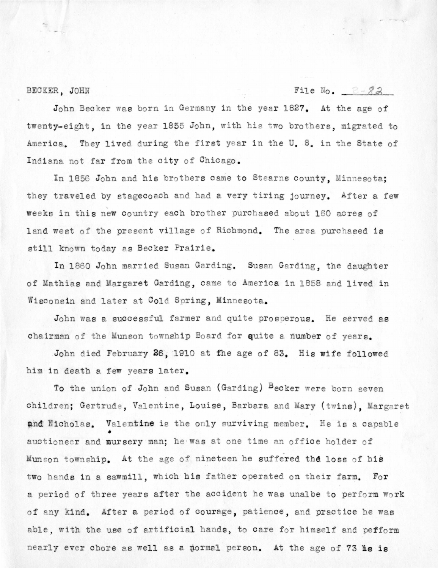#### BECKER, JOHN

### File  $N_0$ .  $R - 82$

John Becker was born in Germany in the year 1827. At the age of twenty-eight, in the year 1855 John, with his two brothers, migrated to America. They lived during the first year in the U.S. in the State of Indiana not far from the city of Chicago.

In 1856 John and his brothers came to Stearns county, Minnesota; they traveled by stagecoach and had a very tiring journey. After a few weeks in this new country each brother purchased about 160 acres of land west of the present village of Richmond. The area purchased is still known today as Becker Prairie.

In 1860 John married Susan Garding. Susan Garding, the daughter of Mathias and Margaret Garding, came to America in 1858 and lived in Wisconsin and later at Cold Spring, Minnesota.

John was a successful farmer and quite prosperous. He served as chairman of the Munson township Board for quite a number of years.

John died February 26, 1910 at the age of 83. His wife followed him in death a few years later.

To the union of John and Susan (Garding) Becker were born seven children; Gertrude, Valentine, Louise, Barbara and Mary (twins), Margaret and Nicholas. Valentine is the only surviving member. He is a capable auctioneer and mursery man; he was at one time an office holder of Munson township. At the age of nineteen he suffered the loss of his two hands in a sawmill, which his father operated on their farm. For a period of three years after the accident he was unalbe to perform work of any kind. After a period of courage, patience, and practice he was able, with the use of artificial hands, to care for himself and pefform nearly ever chore as well as a normal person. At the age of 73 he is